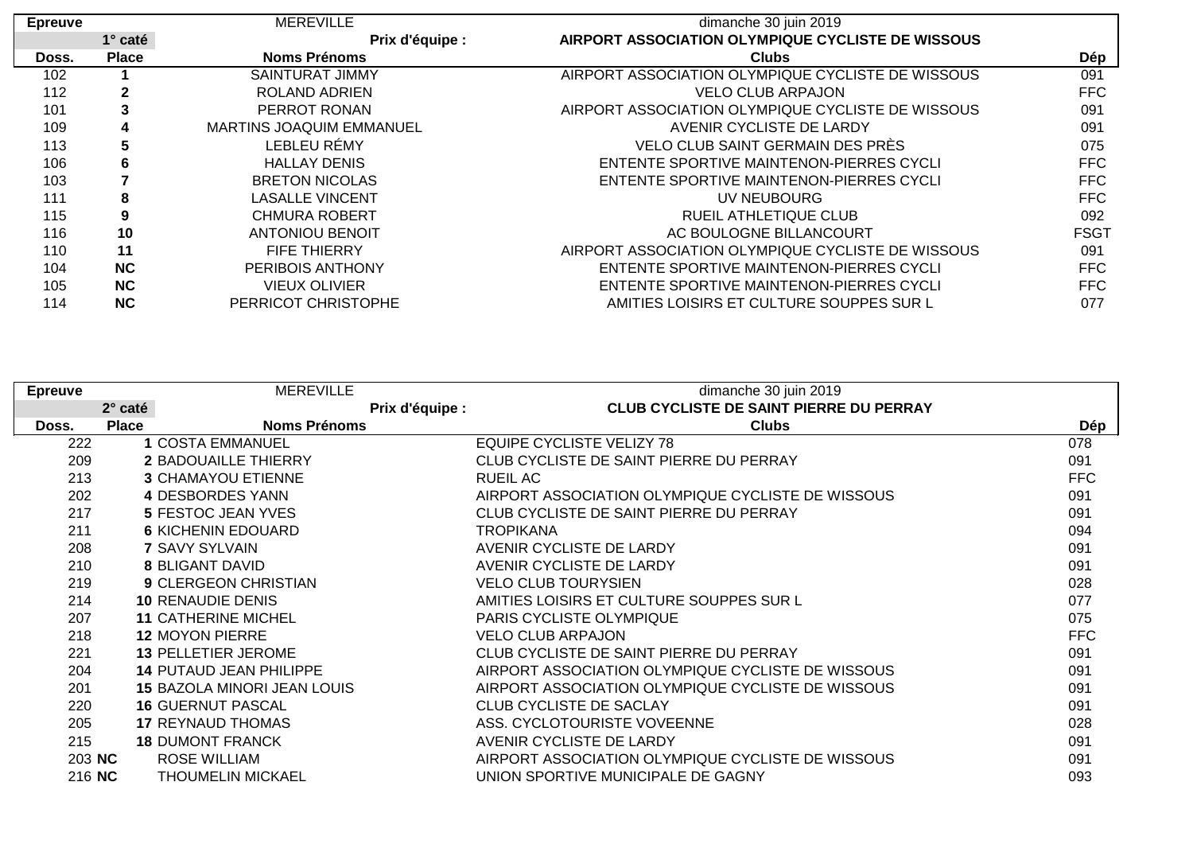| <b>Epreuve</b> |                | <b>MEREVILLE</b>                | dimanche 30 juin 2019                                    |             |
|----------------|----------------|---------------------------------|----------------------------------------------------------|-------------|
|                | $1^\circ$ caté | Prix d'équipe :                 | <b>AIRPORT ASSOCIATION OLYMPIQUE CYCLISTE DE WISSOUS</b> |             |
| Doss.          | <b>Place</b>   | <b>Noms Prénoms</b>             | <b>Clubs</b>                                             | Dép         |
| 102            |                | <b>SAINTURAT JIMMY</b>          | AIRPORT ASSOCIATION OLYMPIQUE CYCLISTE DE WISSOUS        | 091         |
| 112            | $\mathbf{2}$   | <b>ROLAND ADRIEN</b>            | <b>VELO CLUB ARPAJON</b>                                 | <b>FFC</b>  |
| 101            | 3              | PERROT RONAN                    | AIRPORT ASSOCIATION OLYMPIQUE CYCLISTE DE WISSOUS        | 091         |
| 109            | 4              | <b>MARTINS JOAQUIM EMMANUEL</b> | AVENIR CYCLISTE DE LARDY                                 | 091         |
| 113            | 5              | LEBLEU RÉMY                     | <b>VELO CLUB SAINT GERMAIN DES PRÉS</b>                  | 075         |
| 106            | 6              | <b>HALLAY DENIS</b>             | ENTENTE SPORTIVE MAINTENON-PIERRES CYCLI                 | FFC         |
| 103            |                | <b>BRETON NICOLAS</b>           | ENTENTE SPORTIVE MAINTENON-PIERRES CYCLI                 | <b>FFC</b>  |
| 111            | 8              | <b>LASALLE VINCENT</b>          | UV NEUBOURG                                              | <b>FFC</b>  |
| 115            | 9              | <b>CHMURA ROBERT</b>            | RUEIL ATHLETIQUE CLUB                                    | 092         |
| 116            | 10             | <b>ANTONIOU BENOIT</b>          | AC BOULOGNE BILLANCOURT                                  | <b>FSGT</b> |
| 110            | 11             | <b>FIFE THIERRY</b>             | AIRPORT ASSOCIATION OLYMPIQUE CYCLISTE DE WISSOUS        | 091         |
| 104            | <b>NC</b>      | PERIBOIS ANTHONY                | ENTENTE SPORTIVE MAINTENON-PIERRES CYCLI                 | <b>FFC</b>  |
| 105            | <b>NC</b>      | <b>VIEUX OLIVIER</b>            | ENTENTE SPORTIVE MAINTENON-PIERRES CYCLI                 | <b>FFC</b>  |
| 114            | <b>NC</b>      | PERRICOT CHRISTOPHE             | AMITIES LOISIRS ET CULTURE SOUPPES SUR L                 | 077         |

| <b>Epreuve</b> |              | <b>MEREVILLE</b>                   | dimanche 30 juin 2019                             |            |
|----------------|--------------|------------------------------------|---------------------------------------------------|------------|
|                | 2° caté      | Prix d'équipe :                    | <b>CLUB CYCLISTE DE SAINT PIERRE DU PERRAY</b>    |            |
| Doss.          | <b>Place</b> | <b>Noms Prénoms</b>                | <b>Clubs</b>                                      | Dép        |
| 222            |              | <b>1 COSTA EMMANUEL</b>            | EQUIPE CYCLISTE VELIZY 78                         | 078        |
| 209            |              | <b>2 BADOUAILLE THIERRY</b>        | CLUB CYCLISTE DE SAINT PIERRE DU PERRAY           | 091        |
| 213            |              | <b>3 CHAMAYOU ETIENNE</b>          | <b>RUEIL AC</b>                                   | <b>FFC</b> |
| 202            |              | <b>4 DESBORDES YANN</b>            | AIRPORT ASSOCIATION OLYMPIQUE CYCLISTE DE WISSOUS | 091        |
| 217            |              | <b>5 FESTOC JEAN YVES</b>          | CLUB CYCLISTE DE SAINT PIERRE DU PERRAY           | 091        |
| 211            |              | <b>6 KICHENIN EDOUARD</b>          | <b>TROPIKANA</b>                                  | 094        |
| 208            |              | <b>7 SAVY SYLVAIN</b>              | AVENIR CYCLISTE DE LARDY                          | 091        |
| 210            |              | <b>8 BLIGANT DAVID</b>             | AVENIR CYCLISTE DE LARDY                          | 091        |
| 219            |              | <b>9 CLERGEON CHRISTIAN</b>        | <b>VELO CLUB TOURYSIEN</b>                        | 028        |
| 214            |              | <b>10 RENAUDIE DENIS</b>           | AMITIES LOISIRS ET CULTURE SOUPPES SUR L          | 077        |
| 207            |              | <b>11 CATHERINE MICHEL</b>         | PARIS CYCLISTE OLYMPIQUE                          | 075        |
| 218            |              | <b>12 MOYON PIERRE</b>             | <b>VELO CLUB ARPAJON</b>                          | <b>FFC</b> |
| 221            |              | <b>13 PELLETIER JEROME</b>         | CLUB CYCLISTE DE SAINT PIERRE DU PERRAY           | 091        |
| 204            |              | <b>14 PUTAUD JEAN PHILIPPE</b>     | AIRPORT ASSOCIATION OLYMPIQUE CYCLISTE DE WISSOUS | 091        |
| 201            |              | <b>15 BAZOLA MINORI JEAN LOUIS</b> | AIRPORT ASSOCIATION OLYMPIQUE CYCLISTE DE WISSOUS | 091        |
| 220            |              | <b>16 GUERNUT PASCAL</b>           | CLUB CYCLISTE DE SACLAY                           | 091        |
| 205            |              | <b>17 REYNAUD THOMAS</b>           | ASS. CYCLOTOURISTE VOVEENNE                       | 028        |
| 215            |              | <b>18 DUMONT FRANCK</b>            | AVENIR CYCLISTE DE LARDY                          | 091        |
| 203 NC         |              | <b>ROSE WILLIAM</b>                | AIRPORT ASSOCIATION OLYMPIQUE CYCLISTE DE WISSOUS | 091        |
| 216 NC         |              | <b>THOUMELIN MICKAEL</b>           | UNION SPORTIVE MUNICIPALE DE GAGNY                | 093        |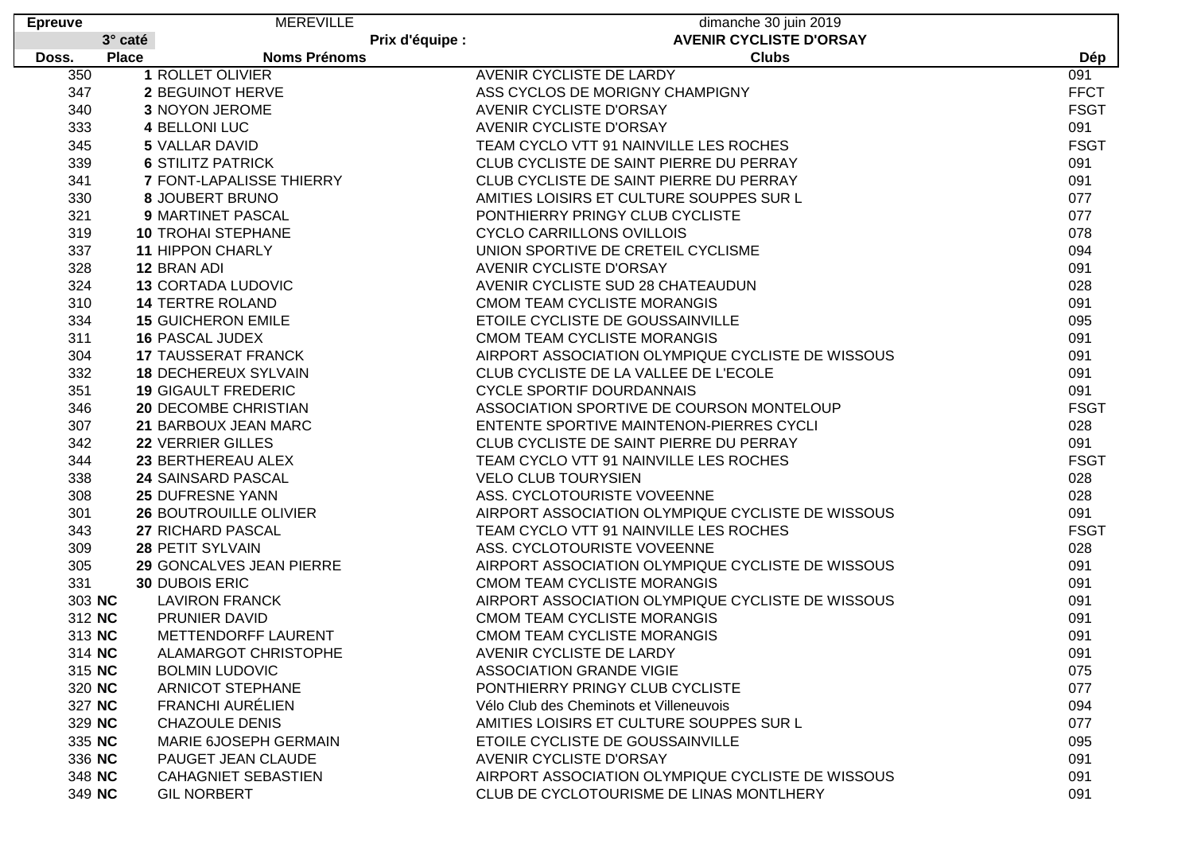| <b>Epreuve</b> | <b>MEREVILLE</b>                    | dimanche 30 juin 2019                             |             |
|----------------|-------------------------------------|---------------------------------------------------|-------------|
|                | 3° caté<br>Prix d'équipe :          | <b>AVENIR CYCLISTE D'ORSAY</b>                    |             |
| Doss.          | <b>Place</b><br><b>Noms Prénoms</b> | <b>Clubs</b>                                      | Dép         |
| 350            | 1 ROLLET OLIVIER                    | AVENIR CYCLISTE DE LARDY                          | 091         |
| 347            | 2 BEGUINOT HERVE                    | ASS CYCLOS DE MORIGNY CHAMPIGNY                   | <b>FFCT</b> |
| 340            | 3 NOYON JEROME                      | <b>AVENIR CYCLISTE D'ORSAY</b>                    | <b>FSGT</b> |
| 333            | 4 BELLONI LUC                       | AVENIR CYCLISTE D'ORSAY                           | 091         |
| 345            | 5 VALLAR DAVID                      | TEAM CYCLO VTT 91 NAINVILLE LES ROCHES            | <b>FSGT</b> |
| 339            | <b>6 STILITZ PATRICK</b>            | CLUB CYCLISTE DE SAINT PIERRE DU PERRAY           | 091         |
| 341            | 7 FONT-LAPALISSE THIERRY            | CLUB CYCLISTE DE SAINT PIERRE DU PERRAY           | 091         |
| 330            | 8 JOUBERT BRUNO                     | AMITIES LOISIRS ET CULTURE SOUPPES SUR L          | 077         |
| 321            | 9 MARTINET PASCAL                   | PONTHIERRY PRINGY CLUB CYCLISTE                   | 077         |
| 319            | <b>10 TROHAI STEPHANE</b>           | <b>CYCLO CARRILLONS OVILLOIS</b>                  | 078         |
| 337            | <b>11 HIPPON CHARLY</b>             | UNION SPORTIVE DE CRETEIL CYCLISME                | 094         |
| 328            | 12 BRAN ADI                         | <b>AVENIR CYCLISTE D'ORSAY</b>                    | 091         |
| 324            | <b>13 CORTADA LUDOVIC</b>           | AVENIR CYCLISTE SUD 28 CHATEAUDUN                 | 028         |
| 310            | <b>14 TERTRE ROLAND</b>             | CMOM TEAM CYCLISTE MORANGIS                       | 091         |
| 334            | <b>15 GUICHERON EMILE</b>           | ETOILE CYCLISTE DE GOUSSAINVILLE                  | 095         |
| 311            | <b>16 PASCAL JUDEX</b>              | <b>CMOM TEAM CYCLISTE MORANGIS</b>                | 091         |
| 304            | <b>17 TAUSSERAT FRANCK</b>          | AIRPORT ASSOCIATION OLYMPIQUE CYCLISTE DE WISSOUS | 091         |
| 332            | <b>18 DECHEREUX SYLVAIN</b>         | CLUB CYCLISTE DE LA VALLEE DE L'ECOLE             | 091         |
| 351            | <b>19 GIGAULT FREDERIC</b>          | <b>CYCLE SPORTIF DOURDANNAIS</b>                  | 091         |
| 346            | <b>20 DECOMBE CHRISTIAN</b>         | ASSOCIATION SPORTIVE DE COURSON MONTELOUP         | <b>FSGT</b> |
| 307            | 21 BARBOUX JEAN MARC                | ENTENTE SPORTIVE MAINTENON-PIERRES CYCLI          | 028         |
| 342            | 22 VERRIER GILLES                   | CLUB CYCLISTE DE SAINT PIERRE DU PERRAY           | 091         |
| 344            | 23 BERTHEREAU ALEX                  | TEAM CYCLO VTT 91 NAINVILLE LES ROCHES            | <b>FSGT</b> |
| 338            | 24 SAINSARD PASCAL                  | <b>VELO CLUB TOURYSIEN</b>                        | 028         |
| 308            | 25 DUFRESNE YANN                    | ASS. CYCLOTOURISTE VOVEENNE                       | 028         |
| 301            | <b>26 BOUTROUILLE OLIVIER</b>       | AIRPORT ASSOCIATION OLYMPIQUE CYCLISTE DE WISSOUS | 091         |
| 343            | 27 RICHARD PASCAL                   | TEAM CYCLO VTT 91 NAINVILLE LES ROCHES            | <b>FSGT</b> |
| 309            | 28 PETIT SYLVAIN                    | ASS. CYCLOTOURISTE VOVEENNE                       | 028         |
| 305            | 29 GONCALVES JEAN PIERRE            | AIRPORT ASSOCIATION OLYMPIQUE CYCLISTE DE WISSOUS | 091         |
| 331            | <b>30 DUBOIS ERIC</b>               | CMOM TEAM CYCLISTE MORANGIS                       | 091         |
| 303 NC         | <b>LAVIRON FRANCK</b>               | AIRPORT ASSOCIATION OLYMPIQUE CYCLISTE DE WISSOUS | 091         |
| 312 NC         | PRUNIER DAVID                       | CMOM TEAM CYCLISTE MORANGIS                       | 091         |
| 313 NC         | METTENDORFF LAURENT                 | CMOM TEAM CYCLISTE MORANGIS                       | 091         |
| 314 NC         | ALAMARGOT CHRISTOPHE                | AVENIR CYCLISTE DE LARDY                          | 091         |
| 315 NC         | <b>BOLMIN LUDOVIC</b>               | <b>ASSOCIATION GRANDE VIGIE</b>                   | 075         |
| 320 NC         | <b>ARNICOT STEPHANE</b>             | PONTHIERRY PRINGY CLUB CYCLISTE                   | 077         |
| 327 NC         | <b>FRANCHI AURÉLIEN</b>             | Vélo Club des Cheminots et Villeneuvois           | 094         |
| 329 NC         | <b>CHAZOULE DENIS</b>               | AMITIES LOISIRS ET CULTURE SOUPPES SUR L          | 077         |
| 335 NC         | MARIE 6JOSEPH GERMAIN               | ETOILE CYCLISTE DE GOUSSAINVILLE                  | 095         |
| 336 NC         | PAUGET JEAN CLAUDE                  | <b>AVENIR CYCLISTE D'ORSAY</b>                    | 091         |
| 348 NC         | <b>CAHAGNIET SEBASTIEN</b>          | AIRPORT ASSOCIATION OLYMPIQUE CYCLISTE DE WISSOUS | 091         |
| 349 NC         | <b>GIL NORBERT</b>                  | CLUB DE CYCLOTOURISME DE LINAS MONTLHERY          | 091         |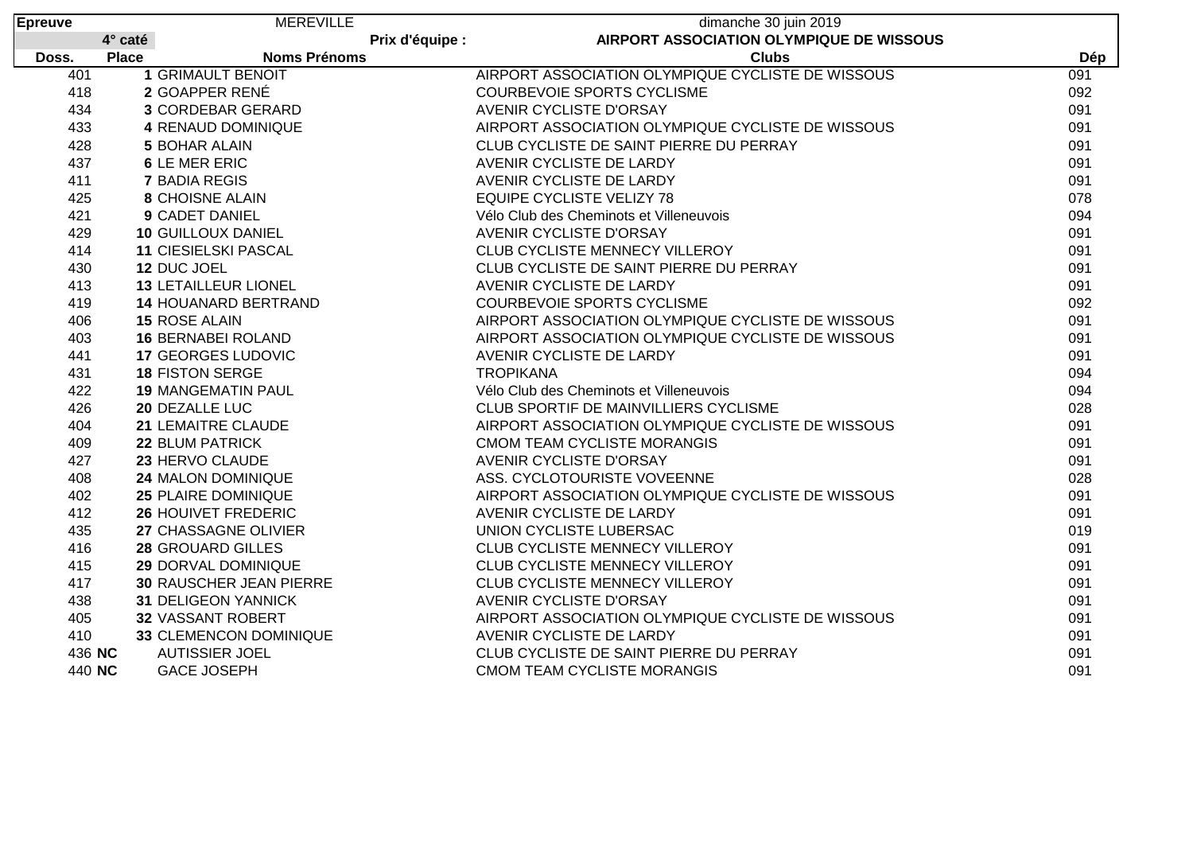| <b>Epreuve</b> |              | <b>MEREVILLE</b>               |                 | dimanche 30 juin 2019                             |     |
|----------------|--------------|--------------------------------|-----------------|---------------------------------------------------|-----|
|                | 4° caté      |                                | Prix d'équipe : | AIRPORT ASSOCIATION OLYMPIQUE DE WISSOUS          |     |
| Doss.          | <b>Place</b> | <b>Noms Prénoms</b>            |                 | <b>Clubs</b>                                      | Dép |
| 401            |              | <b>1 GRIMAULT BENOIT</b>       |                 | AIRPORT ASSOCIATION OLYMPIQUE CYCLISTE DE WISSOUS | 091 |
| 418            |              | 2 GOAPPER RENÉ                 |                 | <b>COURBEVOIE SPORTS CYCLISME</b>                 | 092 |
| 434            |              | <b>3 CORDEBAR GERARD</b>       |                 | <b>AVENIR CYCLISTE D'ORSAY</b>                    | 091 |
| 433            |              | 4 RENAUD DOMINIQUE             |                 | AIRPORT ASSOCIATION OLYMPIQUE CYCLISTE DE WISSOUS | 091 |
| 428            |              | <b>5 BOHAR ALAIN</b>           |                 | CLUB CYCLISTE DE SAINT PIERRE DU PERRAY           | 091 |
| 437            |              | <b>6 LE MER ERIC</b>           |                 | AVENIR CYCLISTE DE LARDY                          | 091 |
| 411            |              | <b>7 BADIA REGIS</b>           |                 | AVENIR CYCLISTE DE LARDY                          | 091 |
| 425            |              | <b>8 CHOISNE ALAIN</b>         |                 | <b>EQUIPE CYCLISTE VELIZY 78</b>                  | 078 |
| 421            |              | <b>9 CADET DANIEL</b>          |                 | Vélo Club des Cheminots et Villeneuvois           | 094 |
| 429            |              | <b>10 GUILLOUX DANIEL</b>      |                 | AVENIR CYCLISTE D'ORSAY                           | 091 |
| 414            |              | <b>11 CIESIELSKI PASCAL</b>    |                 | CLUB CYCLISTE MENNECY VILLEROY                    | 091 |
| 430            |              | 12 DUC JOEL                    |                 | CLUB CYCLISTE DE SAINT PIERRE DU PERRAY           | 091 |
| 413            |              | <b>13 LETAILLEUR LIONEL</b>    |                 | AVENIR CYCLISTE DE LARDY                          | 091 |
| 419            |              | <b>14 HOUANARD BERTRAND</b>    |                 | <b>COURBEVOIE SPORTS CYCLISME</b>                 | 092 |
| 406            |              | <b>15 ROSE ALAIN</b>           |                 | AIRPORT ASSOCIATION OLYMPIQUE CYCLISTE DE WISSOUS | 091 |
| 403            |              | <b>16 BERNABEI ROLAND</b>      |                 | AIRPORT ASSOCIATION OLYMPIQUE CYCLISTE DE WISSOUS | 091 |
| 441            |              | <b>17 GEORGES LUDOVIC</b>      |                 | AVENIR CYCLISTE DE LARDY                          | 091 |
| 431            |              | <b>18 FISTON SERGE</b>         |                 | <b>TROPIKANA</b>                                  | 094 |
| 422            |              | <b>19 MANGEMATIN PAUL</b>      |                 | Vélo Club des Cheminots et Villeneuvois           | 094 |
| 426            |              | 20 DEZALLE LUC                 |                 | CLUB SPORTIF DE MAINVILLIERS CYCLISME             | 028 |
| 404            |              | 21 LEMAITRE CLAUDE             |                 | AIRPORT ASSOCIATION OLYMPIQUE CYCLISTE DE WISSOUS | 091 |
| 409            |              | 22 BLUM PATRICK                |                 | <b>CMOM TEAM CYCLISTE MORANGIS</b>                | 091 |
| 427            |              | 23 HERVO CLAUDE                |                 | AVENIR CYCLISTE D'ORSAY                           | 091 |
| 408            |              | 24 MALON DOMINIQUE             |                 | ASS. CYCLOTOURISTE VOVEENNE                       | 028 |
| 402            |              | <b>25 PLAIRE DOMINIQUE</b>     |                 | AIRPORT ASSOCIATION OLYMPIQUE CYCLISTE DE WISSOUS | 091 |
| 412            |              | <b>26 HOUIVET FREDERIC</b>     |                 | AVENIR CYCLISTE DE LARDY                          | 091 |
| 435            |              | 27 CHASSAGNE OLIVIER           |                 | UNION CYCLISTE LUBERSAC                           | 019 |
| 416            |              | <b>28 GROUARD GILLES</b>       |                 | CLUB CYCLISTE MENNECY VILLEROY                    | 091 |
| 415            |              | 29 DORVAL DOMINIQUE            |                 | CLUB CYCLISTE MENNECY VILLEROY                    | 091 |
| 417            |              | <b>30 RAUSCHER JEAN PIERRE</b> |                 | CLUB CYCLISTE MENNECY VILLEROY                    | 091 |
| 438            |              | 31 DELIGEON YANNICK            |                 | AVENIR CYCLISTE D'ORSAY                           | 091 |
| 405            |              | 32 VASSANT ROBERT              |                 | AIRPORT ASSOCIATION OLYMPIQUE CYCLISTE DE WISSOUS | 091 |
| 410            |              | 33 CLEMENCON DOMINIQUE         |                 | AVENIR CYCLISTE DE LARDY                          | 091 |
| 436 NC         |              | <b>AUTISSIER JOEL</b>          |                 | CLUB CYCLISTE DE SAINT PIERRE DU PERRAY           | 091 |
| 440 NC         |              | <b>GACE JOSEPH</b>             |                 | <b>CMOM TEAM CYCLISTE MORANGIS</b>                | 091 |